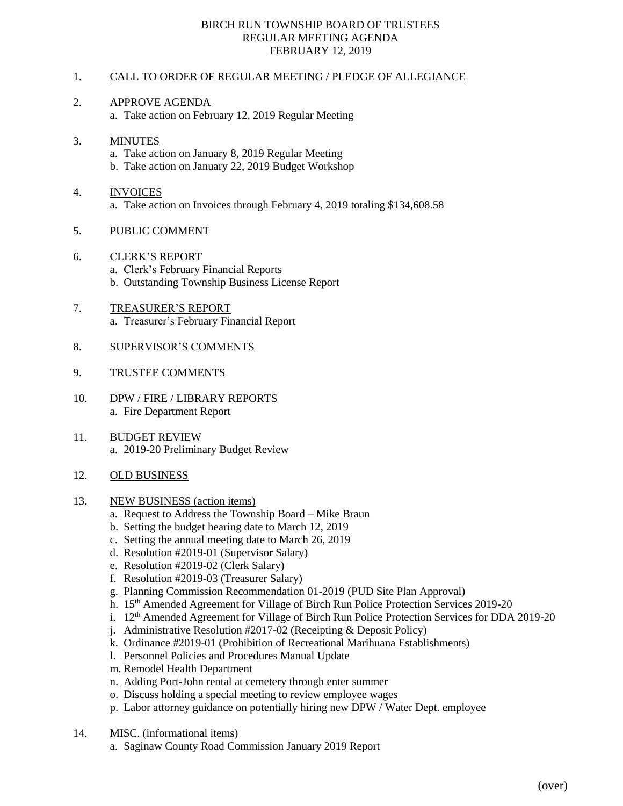### BIRCH RUN TOWNSHIP BOARD OF TRUSTEES REGULAR MEETING AGENDA FEBRUARY 12, 2019

## 1. CALL TO ORDER OF REGULAR MEETING / PLEDGE OF ALLEGIANCE

## 2. APPROVE AGENDA

a. Take action on February 12, 2019 Regular Meeting

#### 3. MINUTES

- a. Take action on January 8, 2019 Regular Meeting
- b. Take action on January 22, 2019 Budget Workshop

# 4. INVOICES

a. Take action on Invoices through February 4, 2019 totaling \$134,608.58

## 5. PUBLIC COMMENT

6. CLERK'S REPORT

a. Clerk's February Financial Reports

- b. Outstanding Township Business License Report
- 7. TREASURER'S REPORT a. Treasurer's February Financial Report

## 8. SUPERVISOR'S COMMENTS

### 9. TRUSTEE COMMENTS

- 10. DPW / FIRE / LIBRARY REPORTS a. Fire Department Report
- 11. BUDGET REVIEW a. 2019-20 Preliminary Budget Review
- 12. OLD BUSINESS
- 13. NEW BUSINESS (action items)
	- a. Request to Address the Township Board Mike Braun
	- b. Setting the budget hearing date to March 12, 2019
	- c. Setting the annual meeting date to March 26, 2019
	- d. Resolution #2019-01 (Supervisor Salary)
	- e. Resolution #2019-02 (Clerk Salary)
	- f. Resolution #2019-03 (Treasurer Salary)
	- g. Planning Commission Recommendation 01-2019 (PUD Site Plan Approval)
	- h. 15<sup>th</sup> Amended Agreement for Village of Birch Run Police Protection Services 2019-20
	- i.  $12<sup>th</sup>$  Amended Agreement for Village of Birch Run Police Protection Services for DDA 2019-20
	- j. Administrative Resolution #2017-02 (Receipting & Deposit Policy)
	- k. Ordinance #2019-01 (Prohibition of Recreational Marihuana Establishments)
	- l. Personnel Policies and Procedures Manual Update
	- m. Remodel Health Department
	- n. Adding Port-John rental at cemetery through enter summer
	- o. Discuss holding a special meeting to review employee wages
	- p. Labor attorney guidance on potentially hiring new DPW / Water Dept. employee
- 14. MISC. (informational items)
	- a. Saginaw County Road Commission January 2019 Report